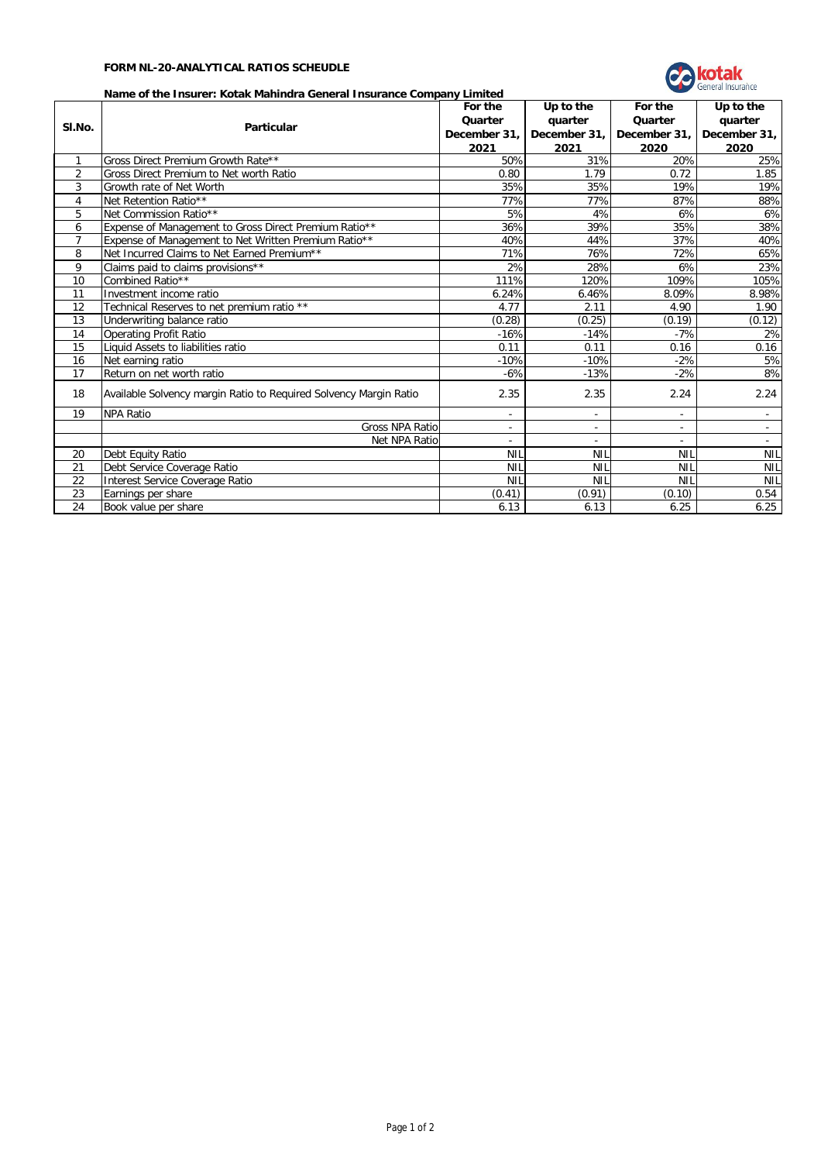## **FORM NL-20-ANALYTICAL RATIOS SCHEUDLE**



## **Name of the Insurer: Kotak Mahindra General Insurance Company Limited**

|                | Name of the Insurer: Kotak Maningra General Insurance Company Limited | For the                  | Up to the                | For the                  | Up to the    |
|----------------|-----------------------------------------------------------------------|--------------------------|--------------------------|--------------------------|--------------|
|                |                                                                       | Quarter                  | quarter                  | Quarter                  | quarter      |
| SI.No.         | <b>Particular</b>                                                     | December 31,             | December 31,             | December 31,             | December 31, |
|                |                                                                       | 2021                     | 2021                     | 2020                     | 2020         |
| $\mathbf{1}$   | Gross Direct Premium Growth Rate**                                    | 50%                      | 31%                      | 20%                      | 25%          |
| $\overline{2}$ | Gross Direct Premium to Net worth Ratio                               | 0.80                     | 1.79                     | 0.72                     | 1.85         |
| 3              | Growth rate of Net Worth                                              | 35%                      | 35%                      | 19%                      | 19%          |
| $\overline{4}$ | Net Retention Ratio**                                                 | 77%                      | 77%                      | 87%                      | 88%          |
| 5              | Net Commission Ratio**                                                | 5%                       | 4%                       | 6%                       | 6%           |
| 6              | Expense of Management to Gross Direct Premium Ratio**                 | 36%                      | 39%                      | 35%                      | 38%          |
| $\overline{7}$ | Expense of Management to Net Written Premium Ratio**                  | 40%                      | 44%                      | 37%                      | 40%          |
| 8              | Net Incurred Claims to Net Earned Premium**                           | 71%                      | 76%                      | 72%                      | 65%          |
| 9              | Claims paid to claims provisions**                                    | 2%                       | 28%                      | 6%                       | 23%          |
| 10             | Combined Ratio**                                                      | 111%                     | 120%                     | 109%                     | 105%         |
| 11             | Investment income ratio                                               | 6.24%                    | 6.46%                    | 8.09%                    | 8.98%        |
| 12             | Technical Reserves to net premium ratio **                            | 4.77                     | 2.11                     | 4.90                     | 1.90         |
| 13             | Underwriting balance ratio                                            | (0.28)                   | (0.25)                   | (0.19)                   | (0.12)       |
| 14             | <b>Operating Profit Ratio</b>                                         | $-16%$                   | $-14%$                   | $-7%$                    | 2%           |
| 15             | Liquid Assets to liabilities ratio                                    | 0.11                     | 0.11                     | 0.16                     | 0.16         |
| 16             | Net earning ratio                                                     | $-10%$                   | $-10%$                   | $-2%$                    | 5%           |
| 17             | Return on net worth ratio                                             | $-6%$                    | $-13%$                   | $-2%$                    | 8%           |
| 18             | Available Solvency margin Ratio to Required Solvency Margin Ratio     | 2.35                     | 2.35                     | 2.24                     | 2.24         |
| 19             | <b>NPA Ratio</b>                                                      | ÷,                       | ÷.                       | ÷,                       | $\sim$       |
|                | Gross NPA Ratio                                                       | $\overline{\phantom{a}}$ | $\overline{\phantom{a}}$ | $\overline{\phantom{a}}$ | $\sim$       |
|                | Net NPA Ratio                                                         |                          |                          |                          |              |
| 20             | Debt Equity Ratio                                                     | <b>NIL</b>               | <b>NIL</b>               | <b>NIL</b>               | <b>NIL</b>   |
| 21             | Debt Service Coverage Ratio                                           | <b>NIL</b>               | <b>NIL</b>               | <b>NIL</b>               | <b>NIL</b>   |
| 22             | Interest Service Coverage Ratio                                       | <b>NIL</b>               | <b>NIL</b>               | <b>NIL</b>               | <b>NIL</b>   |
| 23             | Earnings per share                                                    | (0.41)                   | (0.91)                   | (0.10)                   | 0.54         |
| 24             | Book value per share                                                  | 6.13                     | 6.13                     | 6.25                     | 6.25         |